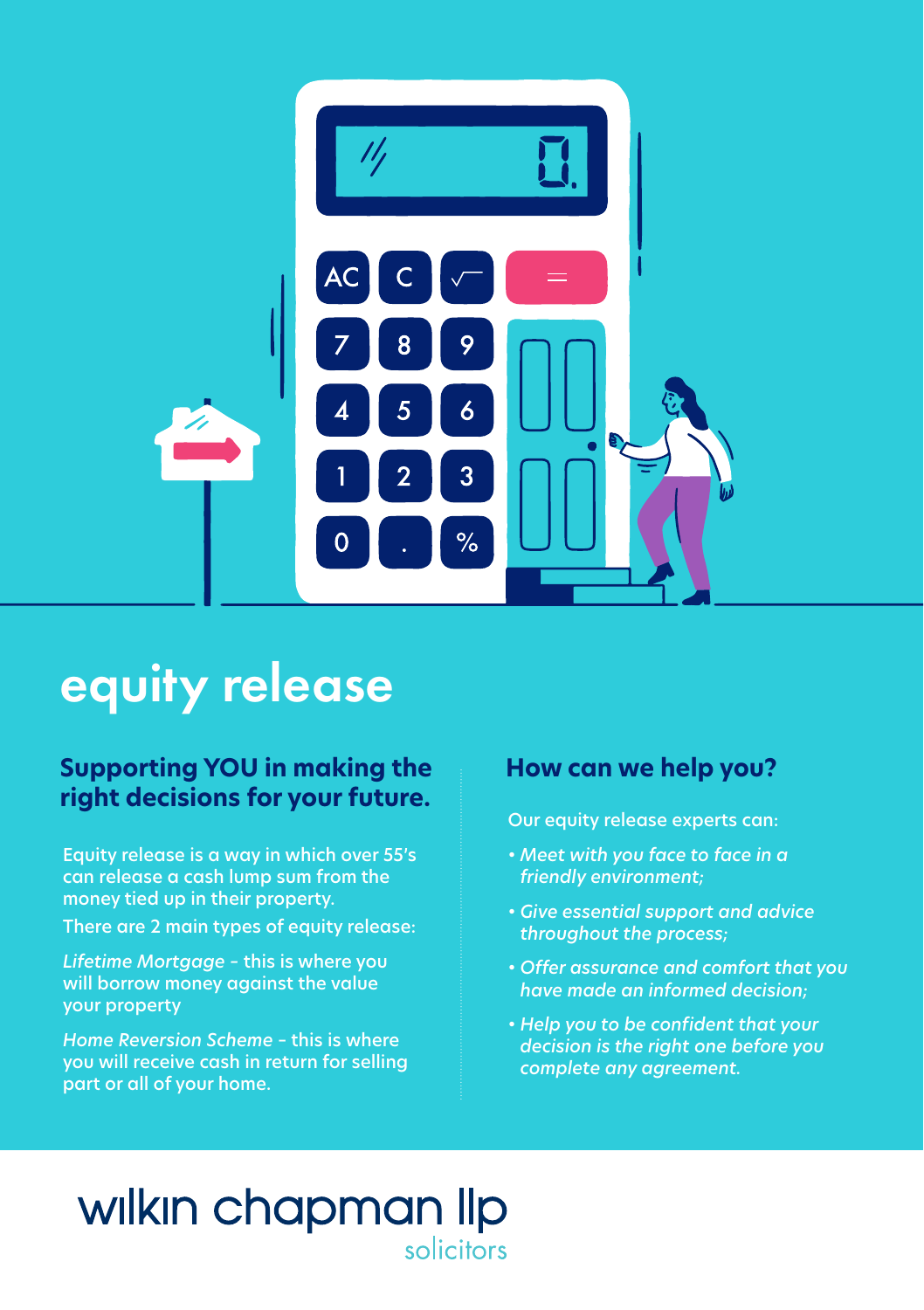

# equity release

### **Supporting YOU in making the right decisions for your future.**

Equity release is a way in which over 55's can release a cash lump sum from the money tied up in their property.

There are 2 main types of equity release:

*Lifetime Mortgage –* this is where you will borrow money against the value your property

*Home Reversion Scheme* – this is where you will receive cash in return for selling part or all of your home.

### **How can we help you?**

Our equity release experts can:

- *Meet with you face to face in a friendly environment;*
- *Give essential support and advice throughout the process;*
- *Offer assurance and comfort that you have made an informed decision;*
- *Help you to be confident that your decision is the right one before you complete any agreement.*

## wilkin chapman lip solicitors